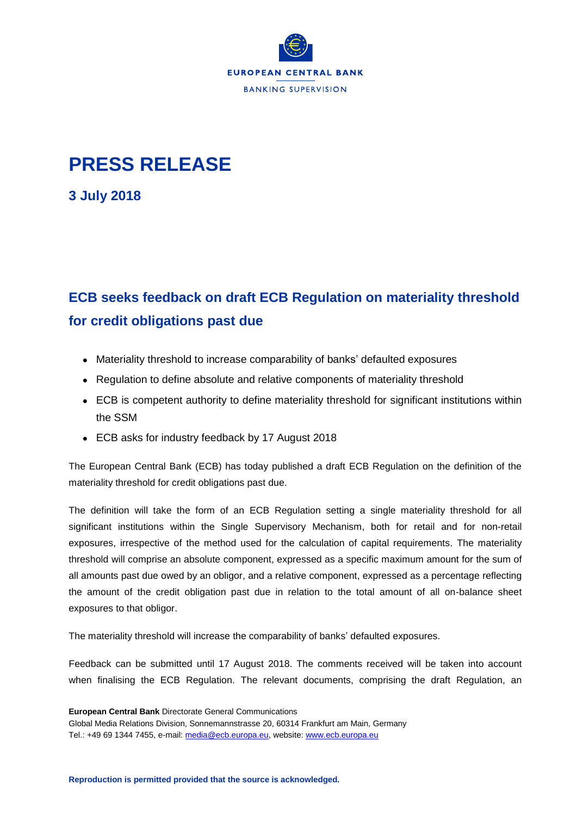

## **PRESS RELEASE**

**3 July 2018**

## **ECB seeks feedback on draft ECB Regulation on materiality threshold for credit obligations past due**

- Materiality threshold to increase comparability of banks' defaulted exposures
- Regulation to define absolute and relative components of materiality threshold
- ECB is competent authority to define materiality threshold for significant institutions within the SSM
- ECB asks for industry feedback by 17 August 2018

The European Central Bank (ECB) has today published a draft ECB Regulation on the definition of the materiality threshold for credit obligations past due.

The definition will take the form of an ECB Regulation setting a single materiality threshold for all significant institutions within the Single Supervisory Mechanism, both for retail and for non-retail exposures, irrespective of the method used for the calculation of capital requirements. The materiality threshold will comprise an absolute component, expressed as a specific maximum amount for the sum of all amounts past due owed by an obligor, and a relative component, expressed as a percentage reflecting the amount of the credit obligation past due in relation to the total amount of all on-balance sheet exposures to that obligor.

The materiality threshold will increase the comparability of banks' defaulted exposures.

Feedback can be submitted until 17 August 2018. The comments received will be taken into account when finalising the ECB Regulation. The relevant documents, comprising the draft Regulation, an

**European Central Bank** Directorate General Communications Global Media Relations Division, Sonnemannstrasse 20, 60314 Frankfurt am Main, Germany Tel.: +49 69 1344 7455, e-mail: [media@ecb.europa.eu,](mailto:media@ecb.europa.eu) website[: www.ecb.europa.eu](http://www.ecb.europa.eu/)